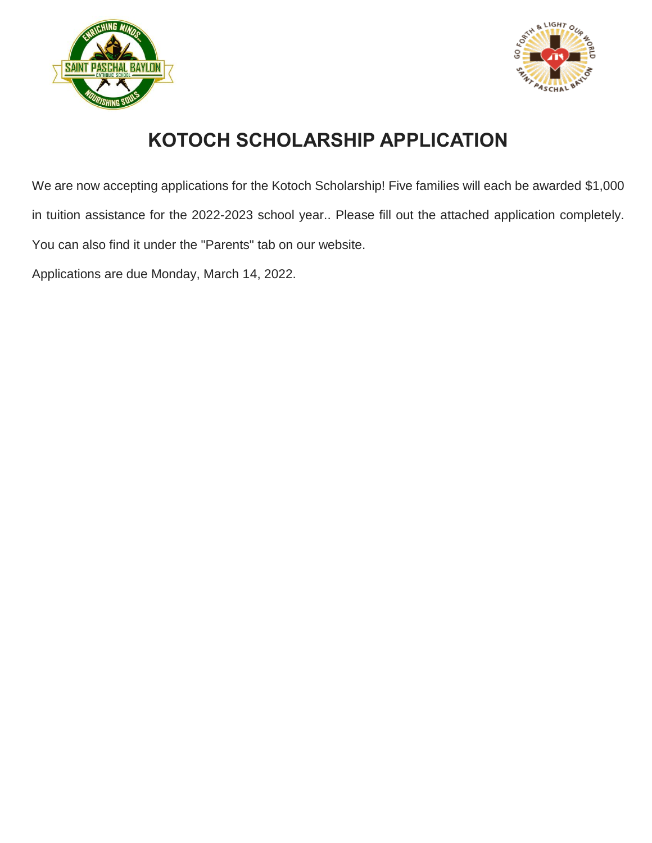



# **KOTOCH SCHOLARSHIP APPLICATION**

We are now accepting applications for the Kotoch Scholarship! Five families will each be awarded \$1,000 in tuition assistance for the 2022-2023 school year.. Please fill out the attached application completely. You can also find it under the "Parents" tab on our website.

Applications are due Monday, March 14, 2022.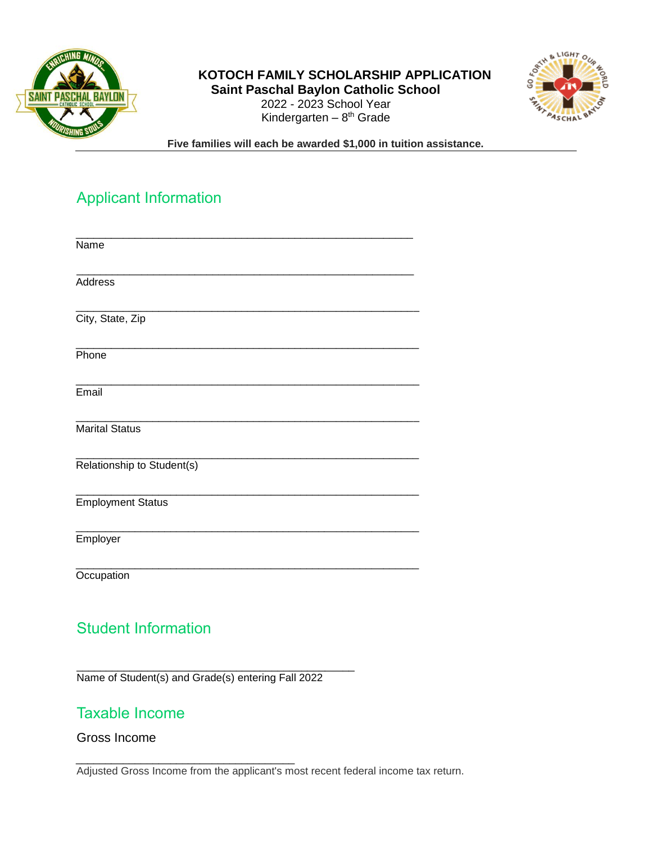

#### **KOTOCH FAMILY SCHOLARSHIP APPLICATION Saint Paschal Baylon Catholic School**



2022 - 2023 School Year Kindergarten – 8<sup>th</sup> Grade

**Five families will each be awarded \$1,000 in tuition assistance.** 

# Applicant Information

| Name                       |
|----------------------------|
| Address                    |
| City, State, Zip           |
| Phone                      |
| Email                      |
| <b>Marital Status</b>      |
| Relationship to Student(s) |
| <b>Employment Status</b>   |
| Employer                   |
| Occupation                 |

# Student Information

\_\_\_\_\_\_\_\_\_\_\_\_\_\_\_\_\_\_\_\_\_\_\_\_\_\_\_\_\_\_\_\_\_\_\_\_\_\_\_\_\_\_\_\_\_\_\_ Name of Student(s) and Grade(s) entering Fall 2022

\_\_\_\_\_\_\_\_\_\_\_\_\_\_\_\_\_\_\_\_\_\_\_\_\_\_\_\_\_\_\_\_\_\_\_\_\_

# Taxable Income

#### Gross Income

Adjusted Gross Income from the applicant's most recent federal income tax return.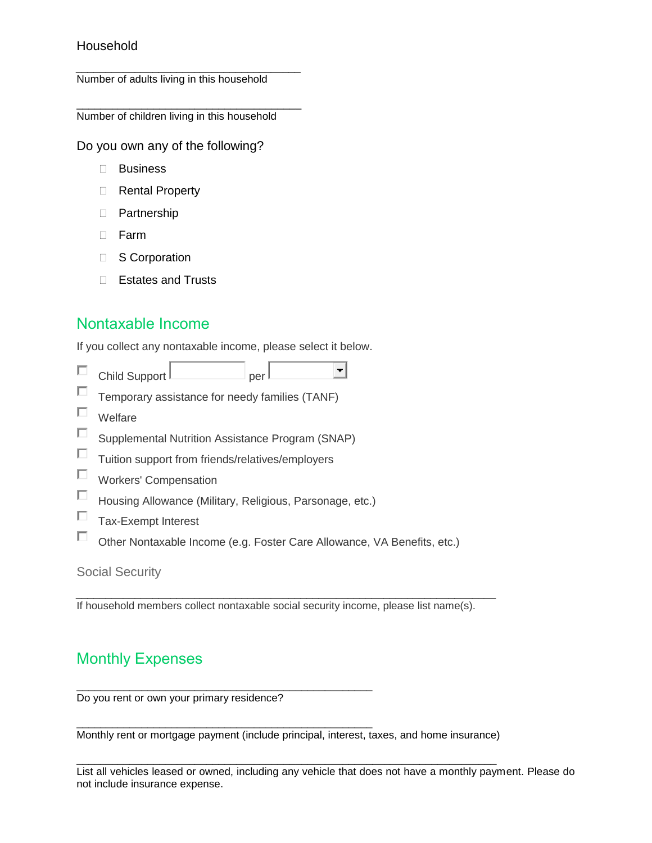#### Household

\_\_\_\_\_\_\_\_\_\_\_\_\_\_\_\_\_\_\_\_\_\_\_\_\_\_\_\_\_\_\_\_\_\_\_\_\_\_ Number of adults living in this household

\_\_\_\_\_\_\_\_\_\_\_\_\_\_\_\_\_\_\_\_\_\_\_\_\_\_\_\_\_\_\_\_\_\_\_\_\_\_ Number of children living in this household

Do you own any of the following?

- Business
- □ Rental Property
- D Partnership
- D Farm
- □ S Corporation
- □ Estates and Trusts

### Nontaxable Income

If you collect any nontaxable income, please select it below.

- П  $\left| \cdot \right|$  $\Box$ Child Support  $\Box$  per per
- П Temporary assistance for needy families (TANF)
- $\Box$ Welfare
- $\Box$ Supplemental Nutrition Assistance Program (SNAP)
- $\Box$ Tuition support from friends/relatives/employers
- Workers' Compensation
- $\Box$ Housing Allowance (Military, Religious, Parsonage, etc.)

\_\_\_\_\_\_\_\_\_\_\_\_\_\_\_\_\_\_\_\_\_\_\_\_\_\_\_\_\_\_\_\_\_\_\_\_\_\_\_\_\_\_\_\_\_\_\_\_\_\_

\_\_\_\_\_\_\_\_\_\_\_\_\_\_\_\_\_\_\_\_\_\_\_\_\_\_\_\_\_\_\_\_\_\_\_\_\_\_\_\_\_\_\_\_\_\_\_\_\_\_

- П Tax-Exempt Interest
- П Other Nontaxable Income (e.g. Foster Care Allowance, VA Benefits, etc.)

#### Social Security

If household members collect nontaxable social security income, please list name(s).

\_\_\_\_\_\_\_\_\_\_\_\_\_\_\_\_\_\_\_\_\_\_\_\_\_\_\_\_\_\_\_\_\_\_\_\_\_\_\_\_\_\_\_\_\_\_\_\_\_\_\_\_\_\_\_\_\_\_\_\_\_\_\_\_\_\_\_\_\_\_\_

# Monthly Expenses

Do you rent or own your primary residence?

Monthly rent or mortgage payment (include principal, interest, taxes, and home insurance)

\_\_\_\_\_\_\_\_\_\_\_\_\_\_\_\_\_\_\_\_\_\_\_\_\_\_\_\_\_\_\_\_\_\_\_\_\_\_\_\_\_\_\_\_\_\_\_\_\_\_\_\_\_\_\_\_\_\_\_\_\_\_\_\_\_\_\_\_\_\_\_

List all vehicles leased or owned, including any vehicle that does not have a monthly payment. Please do not include insurance expense.